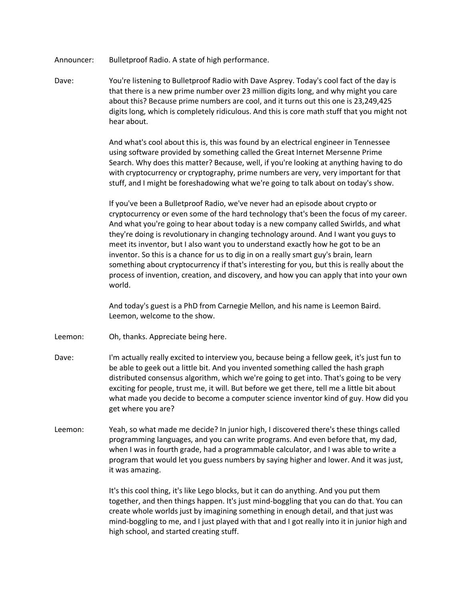- Announcer: Bulletproof Radio. A state of high performance.
- Dave: You're listening to Bulletproof Radio with Dave Asprey. Today's cool fact of the day is that there is a new prime number over 23 million digits long, and why might you care about this? Because prime numbers are cool, and it turns out this one is 23,249,425 digits long, which is completely ridiculous. And this is core math stuff that you might not hear about.

And what's cool about this is, this was found by an electrical engineer in Tennessee using software provided by something called the Great Internet Mersenne Prime Search. Why does this matter? Because, well, if you're looking at anything having to do with cryptocurrency or cryptography, prime numbers are very, very important for that stuff, and I might be foreshadowing what we're going to talk about on today's show.

If you've been a Bulletproof Radio, we've never had an episode about crypto or cryptocurrency or even some of the hard technology that's been the focus of my career. And what you're going to hear about today is a new company called Swirlds, and what they're doing is revolutionary in changing technology around. And I want you guys to meet its inventor, but I also want you to understand exactly how he got to be an inventor. So this is a chance for us to dig in on a really smart guy's brain, learn something about cryptocurrency if that's interesting for you, but this is really about the process of invention, creation, and discovery, and how you can apply that into your own world.

And today's guest is a PhD from Carnegie Mellon, and his name is Leemon Baird. Leemon, welcome to the show.

- Leemon: Oh, thanks. Appreciate being here.
- Dave: I'm actually really excited to interview you, because being a fellow geek, it's just fun to be able to geek out a little bit. And you invented something called the hash graph distributed consensus algorithm, which we're going to get into. That's going to be very exciting for people, trust me, it will. But before we get there, tell me a little bit about what made you decide to become a computer science inventor kind of guy. How did you get where you are?
- Leemon: Yeah, so what made me decide? In junior high, I discovered there's these things called programming languages, and you can write programs. And even before that, my dad, when I was in fourth grade, had a programmable calculator, and I was able to write a program that would let you guess numbers by saying higher and lower. And it was just, it was amazing.

It's this cool thing, it's like Lego blocks, but it can do anything. And you put them together, and then things happen. It's just mind-boggling that you can do that. You can create whole worlds just by imagining something in enough detail, and that just was mind-boggling to me, and I just played with that and I got really into it in junior high and high school, and started creating stuff.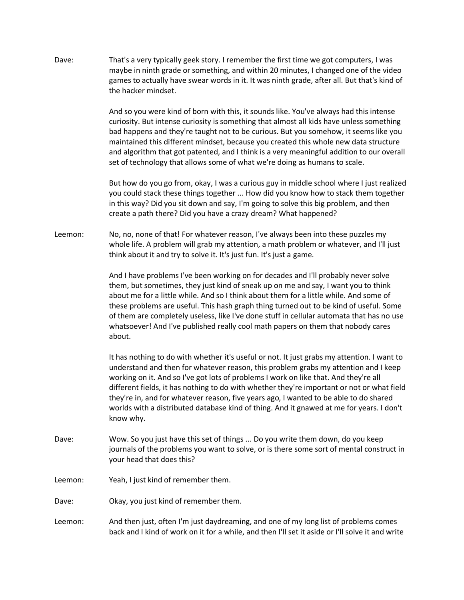Dave: That's a very typically geek story. I remember the first time we got computers, I was maybe in ninth grade or something, and within 20 minutes, I changed one of the video games to actually have swear words in it. It was ninth grade, after all. But that's kind of the hacker mindset.

> And so you were kind of born with this, it sounds like. You've always had this intense curiosity. But intense curiosity is something that almost all kids have unless something bad happens and they're taught not to be curious. But you somehow, it seems like you maintained this different mindset, because you created this whole new data structure and algorithm that got patented, and I think is a very meaningful addition to our overall set of technology that allows some of what we're doing as humans to scale.

> But how do you go from, okay, I was a curious guy in middle school where I just realized you could stack these things together ... How did you know how to stack them together in this way? Did you sit down and say, I'm going to solve this big problem, and then create a path there? Did you have a crazy dream? What happened?

Leemon: No, no, none of that! For whatever reason, I've always been into these puzzles my whole life. A problem will grab my attention, a math problem or whatever, and I'll just think about it and try to solve it. It's just fun. It's just a game.

> And I have problems I've been working on for decades and I'll probably never solve them, but sometimes, they just kind of sneak up on me and say, I want you to think about me for a little while. And so I think about them for a little while. And some of these problems are useful. This hash graph thing turned out to be kind of useful. Some of them are completely useless, like I've done stuff in cellular automata that has no use whatsoever! And I've published really cool math papers on them that nobody cares about.

> It has nothing to do with whether it's useful or not. It just grabs my attention. I want to understand and then for whatever reason, this problem grabs my attention and I keep working on it. And so I've got lots of problems I work on like that. And they're all different fields, it has nothing to do with whether they're important or not or what field they're in, and for whatever reason, five years ago, I wanted to be able to do shared worlds with a distributed database kind of thing. And it gnawed at me for years. I don't know why.

- Dave: Wow. So you just have this set of things ... Do you write them down, do you keep journals of the problems you want to solve, or is there some sort of mental construct in your head that does this?
- Leemon: Yeah, I just kind of remember them.
- Dave: Okay, you just kind of remember them.
- Leemon: And then just, often I'm just daydreaming, and one of my long list of problems comes back and I kind of work on it for a while, and then I'll set it aside or I'll solve it and write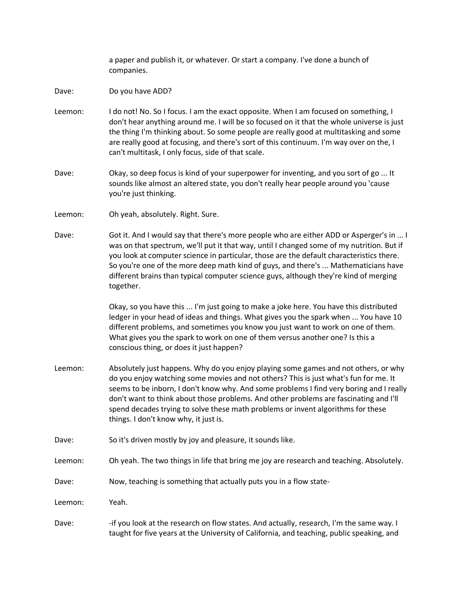a paper and publish it, or whatever. Or start a company. I've done a bunch of companies.

- Dave: Do you have ADD?
- Leemon: I do not! No. So I focus. I am the exact opposite. When I am focused on something, I don't hear anything around me. I will be so focused on it that the whole universe is just the thing I'm thinking about. So some people are really good at multitasking and some are really good at focusing, and there's sort of this continuum. I'm way over on the, I can't multitask, I only focus, side of that scale.
- Dave: Okay, so deep focus is kind of your superpower for inventing, and you sort of go ... It sounds like almost an altered state, you don't really hear people around you 'cause you're just thinking.
- Leemon: Oh yeah, absolutely. Right. Sure.
- Dave: Got it. And I would say that there's more people who are either ADD or Asperger's in ... I was on that spectrum, we'll put it that way, until I changed some of my nutrition. But if you look at computer science in particular, those are the default characteristics there. So you're one of the more deep math kind of guys, and there's ... Mathematicians have different brains than typical computer science guys, although they're kind of merging together.

Okay, so you have this ... I'm just going to make a joke here. You have this distributed ledger in your head of ideas and things. What gives you the spark when ... You have 10 different problems, and sometimes you know you just want to work on one of them. What gives you the spark to work on one of them versus another one? Is this a conscious thing, or does it just happen?

- Leemon: Absolutely just happens. Why do you enjoy playing some games and not others, or why do you enjoy watching some movies and not others? This is just what's fun for me. It seems to be inborn, I don't know why. And some problems I find very boring and I really don't want to think about those problems. And other problems are fascinating and I'll spend decades trying to solve these math problems or invent algorithms for these things. I don't know why, it just is.
- Dave: So it's driven mostly by joy and pleasure, it sounds like.
- Leemon: Oh yeah. The two things in life that bring me joy are research and teaching. Absolutely.
- Dave: Now, teaching is something that actually puts you in a flow state-

Leemon: Yeah.

Dave: -if you look at the research on flow states. And actually, research, I'm the same way. I taught for five years at the University of California, and teaching, public speaking, and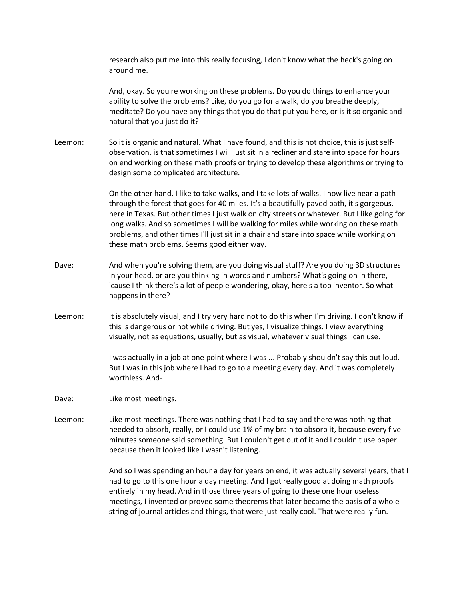research also put me into this really focusing, I don't know what the heck's going on around me.

And, okay. So you're working on these problems. Do you do things to enhance your ability to solve the problems? Like, do you go for a walk, do you breathe deeply, meditate? Do you have any things that you do that put you here, or is it so organic and natural that you just do it?

Leemon: So it is organic and natural. What I have found, and this is not choice, this is just selfobservation, is that sometimes I will just sit in a recliner and stare into space for hours on end working on these math proofs or trying to develop these algorithms or trying to design some complicated architecture.

> On the other hand, I like to take walks, and I take lots of walks. I now live near a path through the forest that goes for 40 miles. It's a beautifully paved path, it's gorgeous, here in Texas. But other times I just walk on city streets or whatever. But I like going for long walks. And so sometimes I will be walking for miles while working on these math problems, and other times I'll just sit in a chair and stare into space while working on these math problems. Seems good either way.

- Dave: And when you're solving them, are you doing visual stuff? Are you doing 3D structures in your head, or are you thinking in words and numbers? What's going on in there, 'cause I think there's a lot of people wondering, okay, here's a top inventor. So what happens in there?
- Leemon: It is absolutely visual, and I try very hard not to do this when I'm driving. I don't know if this is dangerous or not while driving. But yes, I visualize things. I view everything visually, not as equations, usually, but as visual, whatever visual things I can use.

I was actually in a job at one point where I was ... Probably shouldn't say this out loud. But I was in this job where I had to go to a meeting every day. And it was completely worthless. And-

- Dave: Like most meetings.
- Leemon: Like most meetings. There was nothing that I had to say and there was nothing that I needed to absorb, really, or I could use 1% of my brain to absorb it, because every five minutes someone said something. But I couldn't get out of it and I couldn't use paper because then it looked like I wasn't listening.

And so I was spending an hour a day for years on end, it was actually several years, that I had to go to this one hour a day meeting. And I got really good at doing math proofs entirely in my head. And in those three years of going to these one hour useless meetings, I invented or proved some theorems that later became the basis of a whole string of journal articles and things, that were just really cool. That were really fun.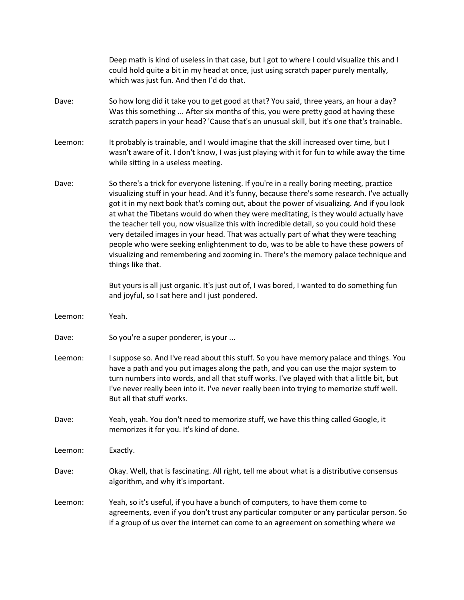|         | Deep math is kind of useless in that case, but I got to where I could visualize this and I<br>could hold quite a bit in my head at once, just using scratch paper purely mentally,<br>which was just fun. And then I'd do that.                                                                                                                                                                                                                                                                                                                                                                                                                                                                                                                                       |
|---------|-----------------------------------------------------------------------------------------------------------------------------------------------------------------------------------------------------------------------------------------------------------------------------------------------------------------------------------------------------------------------------------------------------------------------------------------------------------------------------------------------------------------------------------------------------------------------------------------------------------------------------------------------------------------------------------------------------------------------------------------------------------------------|
| Dave:   | So how long did it take you to get good at that? You said, three years, an hour a day?<br>Was this something  After six months of this, you were pretty good at having these<br>scratch papers in your head? 'Cause that's an unusual skill, but it's one that's trainable.                                                                                                                                                                                                                                                                                                                                                                                                                                                                                           |
| Leemon: | It probably is trainable, and I would imagine that the skill increased over time, but I<br>wasn't aware of it. I don't know, I was just playing with it for fun to while away the time<br>while sitting in a useless meeting.                                                                                                                                                                                                                                                                                                                                                                                                                                                                                                                                         |
| Dave:   | So there's a trick for everyone listening. If you're in a really boring meeting, practice<br>visualizing stuff in your head. And it's funny, because there's some research. I've actually<br>got it in my next book that's coming out, about the power of visualizing. And if you look<br>at what the Tibetans would do when they were meditating, is they would actually have<br>the teacher tell you, now visualize this with incredible detail, so you could hold these<br>very detailed images in your head. That was actually part of what they were teaching<br>people who were seeking enlightenment to do, was to be able to have these powers of<br>visualizing and remembering and zooming in. There's the memory palace technique and<br>things like that. |
|         | But yours is all just organic. It's just out of, I was bored, I wanted to do something fun<br>and joyful, so I sat here and I just pondered.                                                                                                                                                                                                                                                                                                                                                                                                                                                                                                                                                                                                                          |
| Leemon: | Yeah.                                                                                                                                                                                                                                                                                                                                                                                                                                                                                                                                                                                                                                                                                                                                                                 |
| Dave:   | So you're a super ponderer, is your                                                                                                                                                                                                                                                                                                                                                                                                                                                                                                                                                                                                                                                                                                                                   |
| Leemon: | I suppose so. And I've read about this stuff. So you have memory palace and things. You<br>have a path and you put images along the path, and you can use the major system to<br>turn numbers into words, and all that stuff works. I've played with that a little bit, but<br>I've never really been into it. I've never really been into trying to memorize stuff well.<br>But all that stuff works.                                                                                                                                                                                                                                                                                                                                                                |
| Dave:   | Yeah, yeah. You don't need to memorize stuff, we have this thing called Google, it<br>memorizes it for you. It's kind of done.                                                                                                                                                                                                                                                                                                                                                                                                                                                                                                                                                                                                                                        |
| Leemon: | Exactly.                                                                                                                                                                                                                                                                                                                                                                                                                                                                                                                                                                                                                                                                                                                                                              |
| Dave:   | Okay. Well, that is fascinating. All right, tell me about what is a distributive consensus<br>algorithm, and why it's important.                                                                                                                                                                                                                                                                                                                                                                                                                                                                                                                                                                                                                                      |
| Leemon: | Yeah, so it's useful, if you have a bunch of computers, to have them come to<br>agreements, even if you don't trust any particular computer or any particular person. So<br>if a group of us over the internet can come to an agreement on something where we                                                                                                                                                                                                                                                                                                                                                                                                                                                                                                         |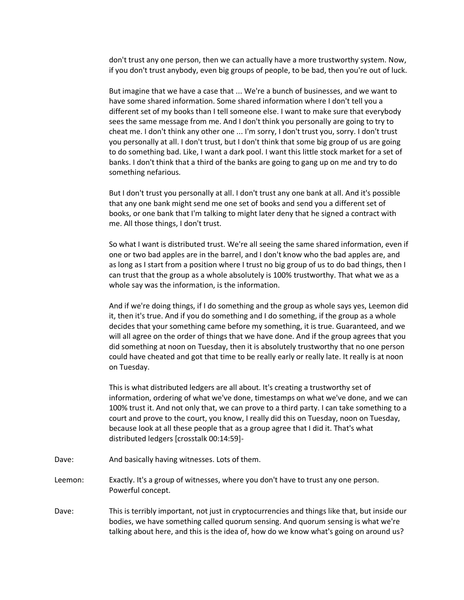don't trust any one person, then we can actually have a more trustworthy system. Now, if you don't trust anybody, even big groups of people, to be bad, then you're out of luck.

But imagine that we have a case that ... We're a bunch of businesses, and we want to have some shared information. Some shared information where I don't tell you a different set of my books than I tell someone else. I want to make sure that everybody sees the same message from me. And I don't think you personally are going to try to cheat me. I don't think any other one ... I'm sorry, I don't trust you, sorry. I don't trust you personally at all. I don't trust, but I don't think that some big group of us are going to do something bad. Like, I want a dark pool. I want this little stock market for a set of banks. I don't think that a third of the banks are going to gang up on me and try to do something nefarious.

But I don't trust you personally at all. I don't trust any one bank at all. And it's possible that any one bank might send me one set of books and send you a different set of books, or one bank that I'm talking to might later deny that he signed a contract with me. All those things, I don't trust.

So what I want is distributed trust. We're all seeing the same shared information, even if one or two bad apples are in the barrel, and I don't know who the bad apples are, and as long as I start from a position where I trust no big group of us to do bad things, then I can trust that the group as a whole absolutely is 100% trustworthy. That what we as a whole say was the information, is the information.

And if we're doing things, if I do something and the group as whole says yes, Leemon did it, then it's true. And if you do something and I do something, if the group as a whole decides that your something came before my something, it is true. Guaranteed, and we will all agree on the order of things that we have done. And if the group agrees that you did something at noon on Tuesday, then it is absolutely trustworthy that no one person could have cheated and got that time to be really early or really late. It really is at noon on Tuesday.

This is what distributed ledgers are all about. It's creating a trustworthy set of information, ordering of what we've done, timestamps on what we've done, and we can 100% trust it. And not only that, we can prove to a third party. I can take something to a court and prove to the court, you know, I really did this on Tuesday, noon on Tuesday, because look at all these people that as a group agree that I did it. That's what distributed ledgers [crosstalk 00:14:59]-

- Dave: And basically having witnesses. Lots of them.
- Leemon: Exactly. It's a group of witnesses, where you don't have to trust any one person. Powerful concept.
- Dave: This is terribly important, not just in cryptocurrencies and things like that, but inside our bodies, we have something called quorum sensing. And quorum sensing is what we're talking about here, and this is the idea of, how do we know what's going on around us?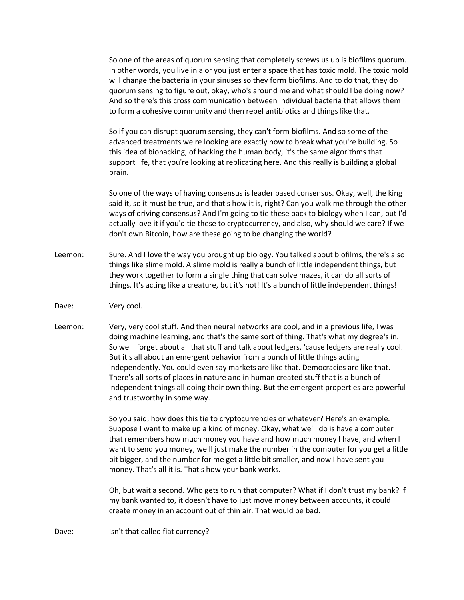So one of the areas of quorum sensing that completely screws us up is biofilms quorum. In other words, you live in a or you just enter a space that has toxic mold. The toxic mold will change the bacteria in your sinuses so they form biofilms. And to do that, they do quorum sensing to figure out, okay, who's around me and what should I be doing now? And so there's this cross communication between individual bacteria that allows them to form a cohesive community and then repel antibiotics and things like that.

So if you can disrupt quorum sensing, they can't form biofilms. And so some of the advanced treatments we're looking are exactly how to break what you're building. So this idea of biohacking, of hacking the human body, it's the same algorithms that support life, that you're looking at replicating here. And this really is building a global brain.

So one of the ways of having consensus is leader based consensus. Okay, well, the king said it, so it must be true, and that's how it is, right? Can you walk me through the other ways of driving consensus? And I'm going to tie these back to biology when I can, but I'd actually love it if you'd tie these to cryptocurrency, and also, why should we care? If we don't own Bitcoin, how are these going to be changing the world?

- Leemon: Sure. And I love the way you brought up biology. You talked about biofilms, there's also things like slime mold. A slime mold is really a bunch of little independent things, but they work together to form a single thing that can solve mazes, it can do all sorts of things. It's acting like a creature, but it's not! It's a bunch of little independent things!
- Dave: Very cool.
- Leemon: Very, very cool stuff. And then neural networks are cool, and in a previous life, I was doing machine learning, and that's the same sort of thing. That's what my degree's in. So we'll forget about all that stuff and talk about ledgers, 'cause ledgers are really cool. But it's all about an emergent behavior from a bunch of little things acting independently. You could even say markets are like that. Democracies are like that. There's all sorts of places in nature and in human created stuff that is a bunch of independent things all doing their own thing. But the emergent properties are powerful and trustworthy in some way.

So you said, how does this tie to cryptocurrencies or whatever? Here's an example. Suppose I want to make up a kind of money. Okay, what we'll do is have a computer that remembers how much money you have and how much money I have, and when I want to send you money, we'll just make the number in the computer for you get a little bit bigger, and the number for me get a little bit smaller, and now I have sent you money. That's all it is. That's how your bank works.

Oh, but wait a second. Who gets to run that computer? What if I don't trust my bank? If my bank wanted to, it doesn't have to just move money between accounts, it could create money in an account out of thin air. That would be bad.

Dave: Isn't that called fiat currency?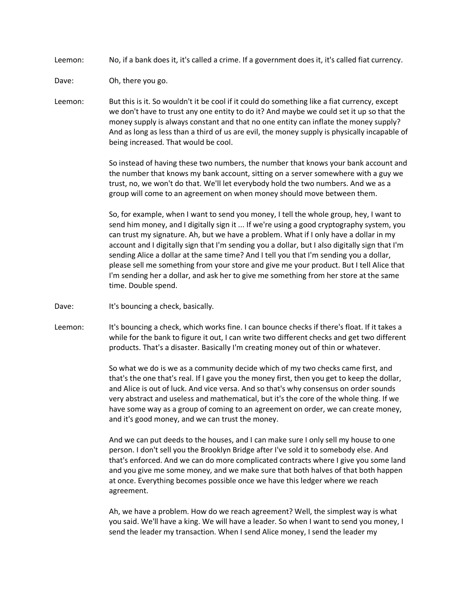Leemon: No, if a bank does it, it's called a crime. If a government does it, it's called fiat currency.

Dave: Oh, there you go.

Leemon: But this is it. So wouldn't it be cool if it could do something like a fiat currency, except we don't have to trust any one entity to do it? And maybe we could set it up so that the money supply is always constant and that no one entity can inflate the money supply? And as long as less than a third of us are evil, the money supply is physically incapable of being increased. That would be cool.

> So instead of having these two numbers, the number that knows your bank account and the number that knows my bank account, sitting on a server somewhere with a guy we trust, no, we won't do that. We'll let everybody hold the two numbers. And we as a group will come to an agreement on when money should move between them.

> So, for example, when I want to send you money, I tell the whole group, hey, I want to send him money, and I digitally sign it ... If we're using a good cryptography system, you can trust my signature. Ah, but we have a problem. What if I only have a dollar in my account and I digitally sign that I'm sending you a dollar, but I also digitally sign that I'm sending Alice a dollar at the same time? And I tell you that I'm sending you a dollar, please sell me something from your store and give me your product. But I tell Alice that I'm sending her a dollar, and ask her to give me something from her store at the same time. Double spend.

- Dave: It's bouncing a check, basically.
- Leemon: It's bouncing a check, which works fine. I can bounce checks if there's float. If it takes a while for the bank to figure it out, I can write two different checks and get two different products. That's a disaster. Basically I'm creating money out of thin or whatever.

So what we do is we as a community decide which of my two checks came first, and that's the one that's real. If I gave you the money first, then you get to keep the dollar, and Alice is out of luck. And vice versa. And so that's why consensus on order sounds very abstract and useless and mathematical, but it's the core of the whole thing. If we have some way as a group of coming to an agreement on order, we can create money, and it's good money, and we can trust the money.

And we can put deeds to the houses, and I can make sure I only sell my house to one person. I don't sell you the Brooklyn Bridge after I've sold it to somebody else. And that's enforced. And we can do more complicated contracts where I give you some land and you give me some money, and we make sure that both halves of that both happen at once. Everything becomes possible once we have this ledger where we reach agreement.

Ah, we have a problem. How do we reach agreement? Well, the simplest way is what you said. We'll have a king. We will have a leader. So when I want to send you money, I send the leader my transaction. When I send Alice money, I send the leader my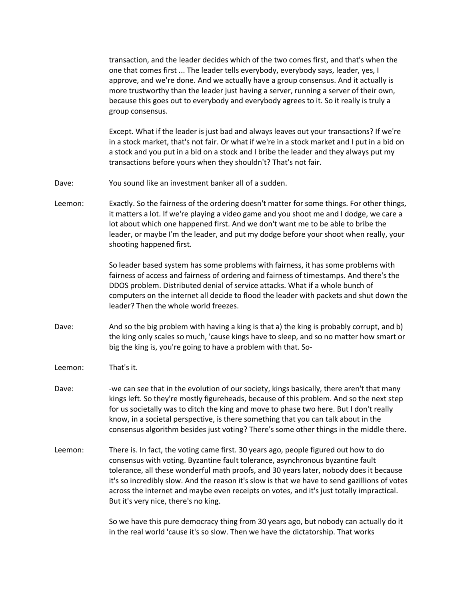transaction, and the leader decides which of the two comes first, and that's when the one that comes first ... The leader tells everybody, everybody says, leader, yes, I approve, and we're done. And we actually have a group consensus. And it actually is more trustworthy than the leader just having a server, running a server of their own, because this goes out to everybody and everybody agrees to it. So it really is truly a group consensus.

Except. What if the leader is just bad and always leaves out your transactions? If we're in a stock market, that's not fair. Or what if we're in a stock market and I put in a bid on a stock and you put in a bid on a stock and I bribe the leader and they always put my transactions before yours when they shouldn't? That's not fair.

- Dave: You sound like an investment banker all of a sudden.
- Leemon: Exactly. So the fairness of the ordering doesn't matter for some things. For other things, it matters a lot. If we're playing a video game and you shoot me and I dodge, we care a lot about which one happened first. And we don't want me to be able to bribe the leader, or maybe I'm the leader, and put my dodge before your shoot when really, your shooting happened first.

So leader based system has some problems with fairness, it has some problems with fairness of access and fairness of ordering and fairness of timestamps. And there's the DDOS problem. Distributed denial of service attacks. What if a whole bunch of computers on the internet all decide to flood the leader with packets and shut down the leader? Then the whole world freezes.

- Dave: And so the big problem with having a king is that a) the king is probably corrupt, and b) the king only scales so much, 'cause kings have to sleep, and so no matter how smart or big the king is, you're going to have a problem with that. So-
- Leemon: That's it.
- Dave: -we can see that in the evolution of our society, kings basically, there aren't that many kings left. So they're mostly figureheads, because of this problem. And so the next step for us societally was to ditch the king and move to phase two here. But I don't really know, in a societal perspective, is there something that you can talk about in the consensus algorithm besides just voting? There's some other things in the middle there.
- Leemon: There is. In fact, the voting came first. 30 years ago, people figured out how to do consensus with voting. Byzantine fault tolerance, asynchronous byzantine fault tolerance, all these wonderful math proofs, and 30 years later, nobody does it because it's so incredibly slow. And the reason it's slow is that we have to send gazillions of votes across the internet and maybe even receipts on votes, and it's just totally impractical. But it's very nice, there's no king.

So we have this pure democracy thing from 30 years ago, but nobody can actually do it in the real world 'cause it's so slow. Then we have the dictatorship. That works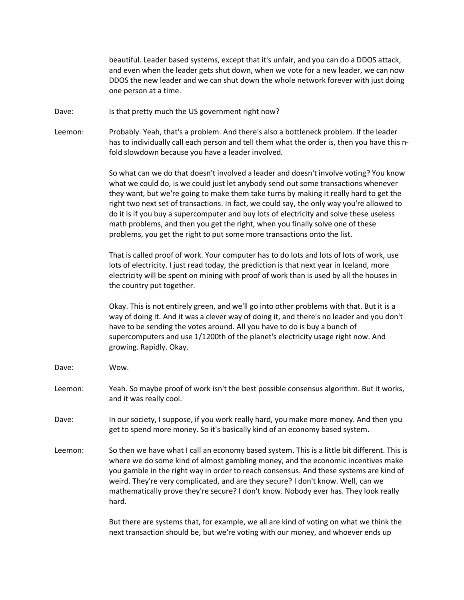beautiful. Leader based systems, except that it's unfair, and you can do a DDOS attack, and even when the leader gets shut down, when we vote for a new leader, we can now DDOS the new leader and we can shut down the whole network forever with just doing one person at a time.

Dave: Is that pretty much the US government right now?

Leemon: Probably. Yeah, that's a problem. And there's also a bottleneck problem. If the leader has to individually call each person and tell them what the order is, then you have this nfold slowdown because you have a leader involved.

> So what can we do that doesn't involved a leader and doesn't involve voting? You know what we could do, is we could just let anybody send out some transactions whenever they want, but we're going to make them take turns by making it really hard to get the right two next set of transactions. In fact, we could say, the only way you're allowed to do it is if you buy a supercomputer and buy lots of electricity and solve these useless math problems, and then you get the right, when you finally solve one of these problems, you get the right to put some more transactions onto the list.

That is called proof of work. Your computer has to do lots and lots of lots of work, use lots of electricity. I just read today, the prediction is that next year in Iceland, more electricity will be spent on mining with proof of work than is used by all the houses in the country put together.

Okay. This is not entirely green, and we'll go into other problems with that. But it is a way of doing it. And it was a clever way of doing it, and there's no leader and you don't have to be sending the votes around. All you have to do is buy a bunch of supercomputers and use 1/1200th of the planet's electricity usage right now. And growing. Rapidly. Okay.

- Dave: Wow.
- Leemon: Yeah. So maybe proof of work isn't the best possible consensus algorithm. But it works, and it was really cool.
- Dave: In our society, I suppose, if you work really hard, you make more money. And then you get to spend more money. So it's basically kind of an economy based system.
- Leemon: So then we have what I call an economy based system. This is a little bit different. This is where we do some kind of almost gambling money, and the economic incentives make you gamble in the right way in order to reach consensus. And these systems are kind of weird. They're very complicated, and are they secure? I don't know. Well, can we mathematically prove they're secure? I don't know. Nobody ever has. They look really hard.

But there are systems that, for example, we all are kind of voting on what we think the next transaction should be, but we're voting with our money, and whoever ends up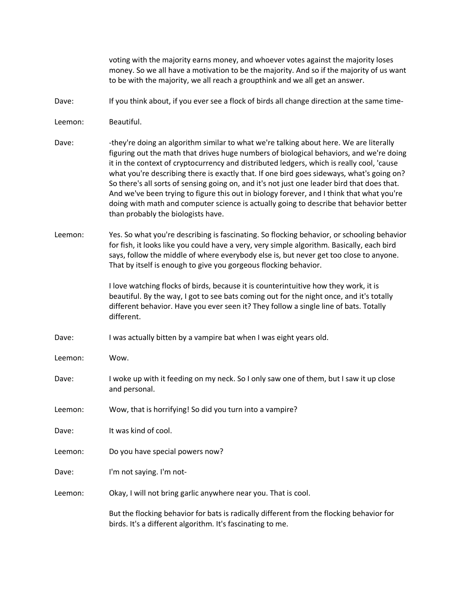voting with the majority earns money, and whoever votes against the majority loses money. So we all have a motivation to be the majority. And so if the majority of us want to be with the majority, we all reach a groupthink and we all get an answer.

- Dave: If you think about, if you ever see a flock of birds all change direction at the same time-
- Leemon: Beautiful.
- Dave: -they're doing an algorithm similar to what we're talking about here. We are literally figuring out the math that drives huge numbers of biological behaviors, and we're doing it in the context of cryptocurrency and distributed ledgers, which is really cool, 'cause what you're describing there is exactly that. If one bird goes sideways, what's going on? So there's all sorts of sensing going on, and it's not just one leader bird that does that. And we've been trying to figure this out in biology forever, and I think that what you're doing with math and computer science is actually going to describe that behavior better than probably the biologists have.
- Leemon: Yes. So what you're describing is fascinating. So flocking behavior, or schooling behavior for fish, it looks like you could have a very, very simple algorithm. Basically, each bird says, follow the middle of where everybody else is, but never get too close to anyone. That by itself is enough to give you gorgeous flocking behavior.

I love watching flocks of birds, because it is counterintuitive how they work, it is beautiful. By the way, I got to see bats coming out for the night once, and it's totally different behavior. Have you ever seen it? They follow a single line of bats. Totally different.

- Dave: I was actually bitten by a vampire bat when I was eight years old.
- Leemon: Wow.
- Dave: I woke up with it feeding on my neck. So I only saw one of them, but I saw it up close and personal.
- Leemon: Wow, that is horrifying! So did you turn into a vampire?
- Dave: It was kind of cool.
- Leemon: Do you have special powers now?
- Dave: I'm not saying. I'm not-
- Leemon: Okay, I will not bring garlic anywhere near you. That is cool.

But the flocking behavior for bats is radically different from the flocking behavior for birds. It's a different algorithm. It's fascinating to me.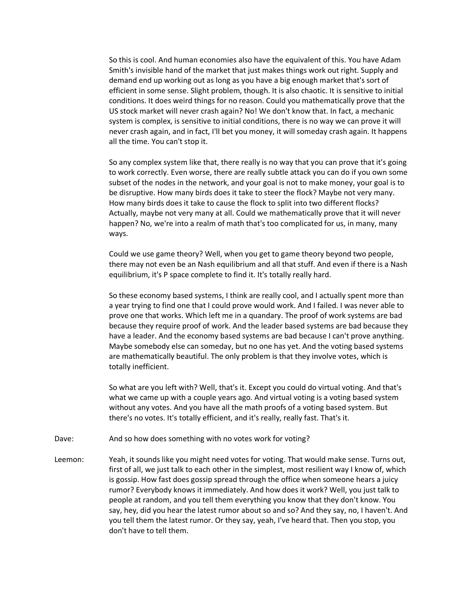So this is cool. And human economies also have the equivalent of this. You have Adam Smith's invisible hand of the market that just makes things work out right. Supply and demand end up working out as long as you have a big enough market that's sort of efficient in some sense. Slight problem, though. It is also chaotic. It is sensitive to initial conditions. It does weird things for no reason. Could you mathematically prove that the US stock market will never crash again? No! We don't know that. In fact, a mechanic system is complex, is sensitive to initial conditions, there is no way we can prove it will never crash again, and in fact, I'll bet you money, it will someday crash again. It happens all the time. You can't stop it.

So any complex system like that, there really is no way that you can prove that it's going to work correctly. Even worse, there are really subtle attack you can do if you own some subset of the nodes in the network, and your goal is not to make money, your goal is to be disruptive. How many birds does it take to steer the flock? Maybe not very many. How many birds does it take to cause the flock to split into two different flocks? Actually, maybe not very many at all. Could we mathematically prove that it will never happen? No, we're into a realm of math that's too complicated for us, in many, many ways.

Could we use game theory? Well, when you get to game theory beyond two people, there may not even be an Nash equilibrium and all that stuff. And even if there is a Nash equilibrium, it's P space complete to find it. It's totally really hard.

So these economy based systems, I think are really cool, and I actually spent more than a year trying to find one that I could prove would work. And I failed. I was never able to prove one that works. Which left me in a quandary. The proof of work systems are bad because they require proof of work. And the leader based systems are bad because they have a leader. And the economy based systems are bad because I can't prove anything. Maybe somebody else can someday, but no one has yet. And the voting based systems are mathematically beautiful. The only problem is that they involve votes, which is totally inefficient.

So what are you left with? Well, that's it. Except you could do virtual voting. And that's what we came up with a couple years ago. And virtual voting is a voting based system without any votes. And you have all the math proofs of a voting based system. But there's no votes. It's totally efficient, and it's really, really fast. That's it.

- Dave: And so how does something with no votes work for voting?
- Leemon: Yeah, it sounds like you might need votes for voting. That would make sense. Turns out, first of all, we just talk to each other in the simplest, most resilient way I know of, which is gossip. How fast does gossip spread through the office when someone hears a juicy rumor? Everybody knows it immediately. And how does it work? Well, you just talk to people at random, and you tell them everything you know that they don't know. You say, hey, did you hear the latest rumor about so and so? And they say, no, I haven't. And you tell them the latest rumor. Or they say, yeah, I've heard that. Then you stop, you don't have to tell them.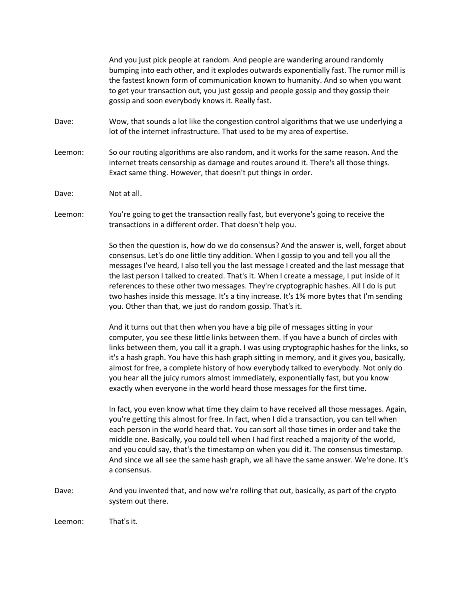|         | And you just pick people at random. And people are wandering around randomly<br>bumping into each other, and it explodes outwards exponentially fast. The rumor mill is<br>the fastest known form of communication known to humanity. And so when you want<br>to get your transaction out, you just gossip and people gossip and they gossip their<br>gossip and soon everybody knows it. Really fast.                                                                                                                                                                                                                               |
|---------|--------------------------------------------------------------------------------------------------------------------------------------------------------------------------------------------------------------------------------------------------------------------------------------------------------------------------------------------------------------------------------------------------------------------------------------------------------------------------------------------------------------------------------------------------------------------------------------------------------------------------------------|
| Dave:   | Wow, that sounds a lot like the congestion control algorithms that we use underlying a<br>lot of the internet infrastructure. That used to be my area of expertise.                                                                                                                                                                                                                                                                                                                                                                                                                                                                  |
| Leemon: | So our routing algorithms are also random, and it works for the same reason. And the<br>internet treats censorship as damage and routes around it. There's all those things.<br>Exact same thing. However, that doesn't put things in order.                                                                                                                                                                                                                                                                                                                                                                                         |
| Dave:   | Not at all.                                                                                                                                                                                                                                                                                                                                                                                                                                                                                                                                                                                                                          |
| Leemon: | You're going to get the transaction really fast, but everyone's going to receive the<br>transactions in a different order. That doesn't help you.                                                                                                                                                                                                                                                                                                                                                                                                                                                                                    |
|         | So then the question is, how do we do consensus? And the answer is, well, forget about<br>consensus. Let's do one little tiny addition. When I gossip to you and tell you all the<br>messages I've heard, I also tell you the last message I created and the last message that<br>the last person I talked to created. That's it. When I create a message, I put inside of it<br>references to these other two messages. They're cryptographic hashes. All I do is put<br>two hashes inside this message. It's a tiny increase. It's 1% more bytes that I'm sending<br>you. Other than that, we just do random gossip. That's it.    |
|         | And it turns out that then when you have a big pile of messages sitting in your<br>computer, you see these little links between them. If you have a bunch of circles with<br>links between them, you call it a graph. I was using cryptographic hashes for the links, so<br>it's a hash graph. You have this hash graph sitting in memory, and it gives you, basically,<br>almost for free, a complete history of how everybody talked to everybody. Not only do<br>you hear all the juicy rumors almost immediately, exponentially fast, but you know<br>exactly when everyone in the world heard those messages for the first time |
|         | In fact, you even know what time they claim to have received all those messages. Again,<br>you're getting this almost for free. In fact, when I did a transaction, you can tell when<br>each person in the world heard that. You can sort all those times in order and take the<br>middle one. Basically, you could tell when I had first reached a majority of the world,<br>and you could say, that's the timestamp on when you did it. The consensus timestamp.<br>And since we all see the same hash graph, we all have the same answer. We're done. It's<br>a consensus.                                                        |
| Dave:   | And you invented that, and now we're rolling that out, basically, as part of the crypto<br>system out there.                                                                                                                                                                                                                                                                                                                                                                                                                                                                                                                         |
| Leemon: | That's it.                                                                                                                                                                                                                                                                                                                                                                                                                                                                                                                                                                                                                           |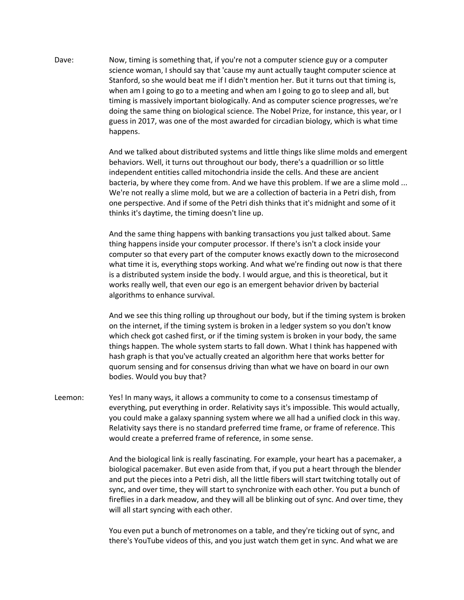Dave: Now, timing is something that, if you're not a computer science guy or a computer science woman, I should say that 'cause my aunt actually taught computer science at Stanford, so she would beat me if I didn't mention her. But it turns out that timing is, when am I going to go to a meeting and when am I going to go to sleep and all, but timing is massively important biologically. And as computer science progresses, we're doing the same thing on biological science. The Nobel Prize, for instance, this year, or I guess in 2017, was one of the most awarded for circadian biology, which is what time happens.

> And we talked about distributed systems and little things like slime molds and emergent behaviors. Well, it turns out throughout our body, there's a quadrillion or so little independent entities called mitochondria inside the cells. And these are ancient bacteria, by where they come from. And we have this problem. If we are a slime mold ... We're not really a slime mold, but we are a collection of bacteria in a Petri dish, from one perspective. And if some of the Petri dish thinks that it's midnight and some of it thinks it's daytime, the timing doesn't line up.

And the same thing happens with banking transactions you just talked about. Same thing happens inside your computer processor. If there's isn't a clock inside your computer so that every part of the computer knows exactly down to the microsecond what time it is, everything stops working. And what we're finding out now is that there is a distributed system inside the body. I would argue, and this is theoretical, but it works really well, that even our ego is an emergent behavior driven by bacterial algorithms to enhance survival.

And we see this thing rolling up throughout our body, but if the timing system is broken on the internet, if the timing system is broken in a ledger system so you don't know which check got cashed first, or if the timing system is broken in your body, the same things happen. The whole system starts to fall down. What I think has happened with hash graph is that you've actually created an algorithm here that works better for quorum sensing and for consensus driving than what we have on board in our own bodies. Would you buy that?

Leemon: Yes! In many ways, it allows a community to come to a consensus timestamp of everything, put everything in order. Relativity says it's impossible. This would actually, you could make a galaxy spanning system where we all had a unified clock in this way. Relativity says there is no standard preferred time frame, or frame of reference. This would create a preferred frame of reference, in some sense.

> And the biological link is really fascinating. For example, your heart has a pacemaker, a biological pacemaker. But even aside from that, if you put a heart through the blender and put the pieces into a Petri dish, all the little fibers will start twitching totally out of sync, and over time, they will start to synchronize with each other. You put a bunch of fireflies in a dark meadow, and they will all be blinking out of sync. And over time, they will all start syncing with each other.

You even put a bunch of metronomes on a table, and they're ticking out of sync, and there's YouTube videos of this, and you just watch them get in sync. And what we are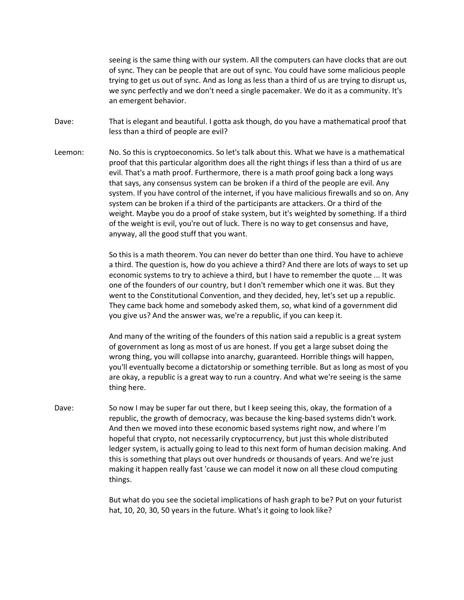seeing is the same thing with our system. All the computers can have clocks that are out of sync. They can be people that are out of sync. You could have some malicious people trying to get us out of sync. And as long as less than a third of us are trying to disrupt us, we sync perfectly and we don't need a single pacemaker. We do it as a community. It's an emergent behavior.

- Dave: That is elegant and beautiful. I gotta ask though, do you have a mathematical proof that less than a third of people are evil?
- Leemon: No. So this is cryptoeconomics. So let's talk about this. What we have is a mathematical proof that this particular algorithm does all the right things if less than a third of us are evil. That's a math proof. Furthermore, there is a math proof going back a long ways that says, any consensus system can be broken if a third of the people are evil. Any system. If you have control of the internet, if you have malicious firewalls and so on. Any system can be broken if a third of the participants are attackers. Or a third of the weight. Maybe you do a proof of stake system, but it's weighted by something. If a third of the weight is evil, you're out of luck. There is no way to get consensus and have, anyway, all the good stuff that you want.

So this is a math theorem. You can never do better than one third. You have to achieve a third. The question is, how do you achieve a third? And there are lots of ways to set up economic systems to try to achieve a third, but I have to remember the quote ... It was one of the founders of our country, but I don't remember which one it was. But they went to the Constitutional Convention, and they decided, hey, let's set up a republic. They came back home and somebody asked them, so, what kind of a government did you give us? And the answer was, we're a republic, if you can keep it.

And many of the writing of the founders of this nation said a republic is a great system of government as long as most of us are honest. If you get a large subset doing the wrong thing, you will collapse into anarchy, guaranteed. Horrible things will happen, you'll eventually become a dictatorship or something terrible. But as long as most of you are okay, a republic is a great way to run a country. And what we're seeing is the same thing here.

Dave: So now I may be super far out there, but I keep seeing this, okay, the formation of a republic, the growth of democracy, was because the king-based systems didn't work. And then we moved into these economic based systems right now, and where I'm hopeful that crypto, not necessarily cryptocurrency, but just this whole distributed ledger system, is actually going to lead to this next form of human decision making. And this is something that plays out over hundreds or thousands of years. And we're just making it happen really fast 'cause we can model it now on all these cloud computing things.

> But what do you see the societal implications of hash graph to be? Put on your futurist hat, 10, 20, 30, 50 years in the future. What's it going to look like?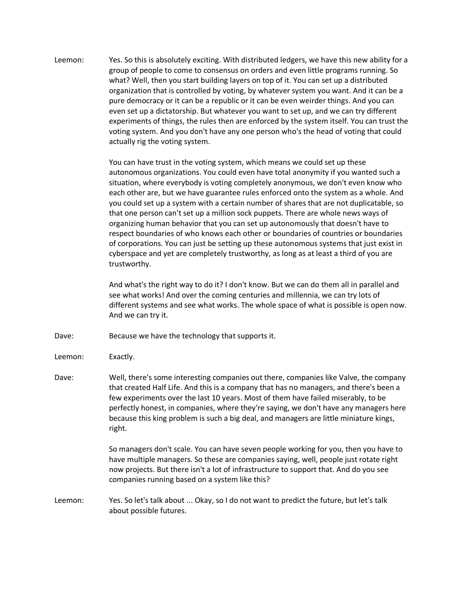Leemon: Yes. So this is absolutely exciting. With distributed ledgers, we have this new ability for a group of people to come to consensus on orders and even little programs running. So what? Well, then you start building layers on top of it. You can set up a distributed organization that is controlled by voting, by whatever system you want. And it can be a pure democracy or it can be a republic or it can be even weirder things. And you can even set up a dictatorship. But whatever you want to set up, and we can try different experiments of things, the rules then are enforced by the system itself. You can trust the voting system. And you don't have any one person who's the head of voting that could actually rig the voting system.

> You can have trust in the voting system, which means we could set up these autonomous organizations. You could even have total anonymity if you wanted such a situation, where everybody is voting completely anonymous, we don't even know who each other are, but we have guarantee rules enforced onto the system as a whole. And you could set up a system with a certain number of shares that are not duplicatable, so that one person can't set up a million sock puppets. There are whole news ways of organizing human behavior that you can set up autonomously that doesn't have to respect boundaries of who knows each other or boundaries of countries or boundaries of corporations. You can just be setting up these autonomous systems that just exist in cyberspace and yet are completely trustworthy, as long as at least a third of you are trustworthy.

> And what's the right way to do it? I don't know. But we can do them all in parallel and see what works! And over the coming centuries and millennia, we can try lots of different systems and see what works. The whole space of what is possible is open now. And we can try it.

- Dave: Because we have the technology that supports it.
- Leemon: Exactly.
- Dave: Well, there's some interesting companies out there, companies like Valve, the company that created Half Life. And this is a company that has no managers, and there's been a few experiments over the last 10 years. Most of them have failed miserably, to be perfectly honest, in companies, where they're saying, we don't have any managers here because this king problem is such a big deal, and managers are little miniature kings, right.

So managers don't scale. You can have seven people working for you, then you have to have multiple managers. So these are companies saying, well, people just rotate right now projects. But there isn't a lot of infrastructure to support that. And do you see companies running based on a system like this?

Leemon: Yes. So let's talk about ... Okay, so I do not want to predict the future, but let's talk about possible futures.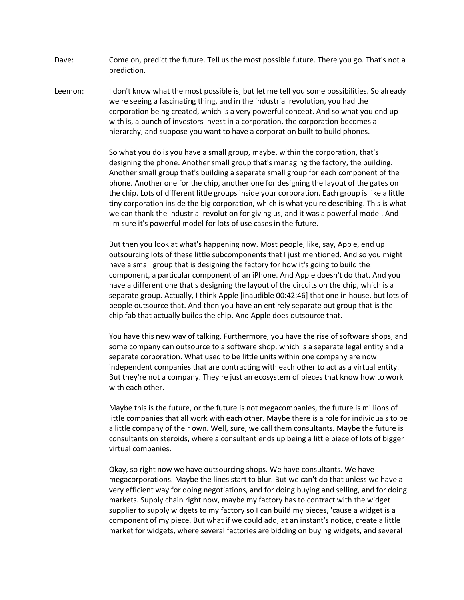- Dave: Come on, predict the future. Tell us the most possible future. There you go. That's not a prediction.
- Leemon: I don't know what the most possible is, but let me tell you some possibilities. So already we're seeing a fascinating thing, and in the industrial revolution, you had the corporation being created, which is a very powerful concept. And so what you end up with is, a bunch of investors invest in a corporation, the corporation becomes a hierarchy, and suppose you want to have a corporation built to build phones.

So what you do is you have a small group, maybe, within the corporation, that's designing the phone. Another small group that's managing the factory, the building. Another small group that's building a separate small group for each component of the phone. Another one for the chip, another one for designing the layout of the gates on the chip. Lots of different little groups inside your corporation. Each group is like a little tiny corporation inside the big corporation, which is what you're describing. This is what we can thank the industrial revolution for giving us, and it was a powerful model. And I'm sure it's powerful model for lots of use cases in the future.

But then you look at what's happening now. Most people, like, say, Apple, end up outsourcing lots of these little subcomponents that I just mentioned. And so you might have a small group that is designing the factory for how it's going to build the component, a particular component of an iPhone. And Apple doesn't do that. And you have a different one that's designing the layout of the circuits on the chip, which is a separate group. Actually, I think Apple [inaudible 00:42:46] that one in house, but lots of people outsource that. And then you have an entirely separate out group that is the chip fab that actually builds the chip. And Apple does outsource that.

You have this new way of talking. Furthermore, you have the rise of software shops, and some company can outsource to a software shop, which is a separate legal entity and a separate corporation. What used to be little units within one company are now independent companies that are contracting with each other to act as a virtual entity. But they're not a company. They're just an ecosystem of pieces that know how to work with each other.

Maybe this is the future, or the future is not megacompanies, the future is millions of little companies that all work with each other. Maybe there is a role for individuals to be a little company of their own. Well, sure, we call them consultants. Maybe the future is consultants on steroids, where a consultant ends up being a little piece of lots of bigger virtual companies.

Okay, so right now we have outsourcing shops. We have consultants. We have megacorporations. Maybe the lines start to blur. But we can't do that unless we have a very efficient way for doing negotiations, and for doing buying and selling, and for doing markets. Supply chain right now, maybe my factory has to contract with the widget supplier to supply widgets to my factory so I can build my pieces, 'cause a widget is a component of my piece. But what if we could add, at an instant's notice, create a little market for widgets, where several factories are bidding on buying widgets, and several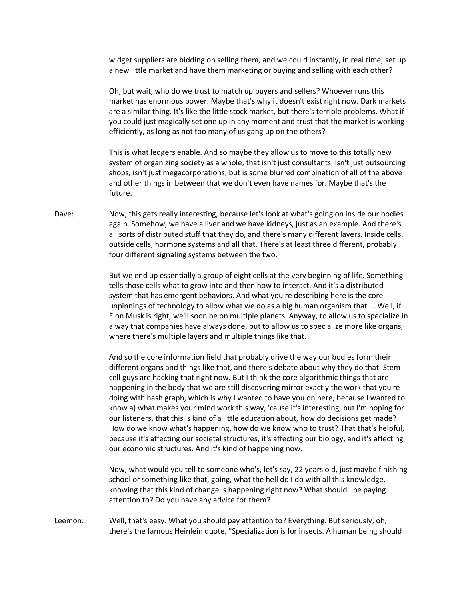widget suppliers are bidding on selling them, and we could instantly, in real time, set up a new little market and have them marketing or buying and selling with each other?

Oh, but wait, who do we trust to match up buyers and sellers? Whoever runs this market has enormous power. Maybe that's why it doesn't exist right now. Dark markets are a similar thing. It's like the little stock market, but there's terrible problems. What if you could just magically set one up in any moment and trust that the market is working efficiently, as long as not too many of us gang up on the others?

This is what ledgers enable. And so maybe they allow us to move to this totally new system of organizing society as a whole, that isn't just consultants, isn't just outsourcing shops, isn't just megacorporations, but is some blurred combination of all of the above and other things in between that we don't even have names for. Maybe that's the future.

Dave: Now, this gets really interesting, because let's look at what's going on inside our bodies again. Somehow, we have a liver and we have kidneys, just as an example. And there's all sorts of distributed stuff that they do, and there's many different layers. Inside cells, outside cells, hormone systems and all that. There's at least three different, probably four different signaling systems between the two.

> But we end up essentially a group of eight cells at the very beginning of life. Something tells those cells what to grow into and then how to interact. And it's a distributed system that has emergent behaviors. And what you're describing here is the core unpinnings of technology to allow what we do as a big human organism that ... Well, if Elon Musk is right, we'll soon be on multiple planets. Anyway, to allow us to specialize in a way that companies have always done, but to allow us to specialize more like organs, where there's multiple layers and multiple things like that.

> And so the core information field that probably drive the way our bodies form their different organs and things like that, and there's debate about why they do that. Stem cell guys are hacking that right now. But I think the core algorithmic things that are happening in the body that we are still discovering mirror exactly the work that you're doing with hash graph, which is why I wanted to have you on here, because I wanted to know a) what makes your mind work this way, 'cause it's interesting, but I'm hoping for our listeners, that this is kind of a little education about, how do decisions get made? How do we know what's happening, how do we know who to trust? That that's helpful, because it's affecting our societal structures, it's affecting our biology, and it's affecting our economic structures. And it's kind of happening now.

> Now, what would you tell to someone who's, let's say, 22 years old, just maybe finishing school or something like that, going, what the hell do I do with all this knowledge, knowing that this kind of change is happening right now? What should I be paying attention to? Do you have any advice for them?

Leemon: Well, that's easy. What you should pay attention to? Everything. But seriously, oh, there's the famous Heinlein quote, "Specialization is for insects. A human being should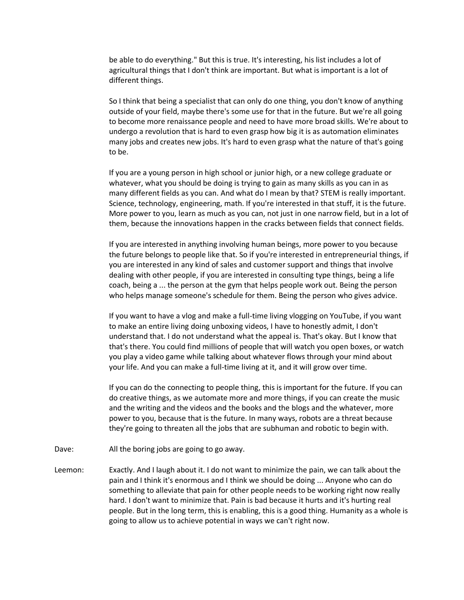be able to do everything." But this is true. It's interesting, his list includes a lot of agricultural things that I don't think are important. But what is important is a lot of different things.

So I think that being a specialist that can only do one thing, you don't know of anything outside of your field, maybe there's some use for that in the future. But we're all going to become more renaissance people and need to have more broad skills. We're about to undergo a revolution that is hard to even grasp how big it is as automation eliminates many jobs and creates new jobs. It's hard to even grasp what the nature of that's going to be.

If you are a young person in high school or junior high, or a new college graduate or whatever, what you should be doing is trying to gain as many skills as you can in as many different fields as you can. And what do I mean by that? STEM is really important. Science, technology, engineering, math. If you're interested in that stuff, it is the future. More power to you, learn as much as you can, not just in one narrow field, but in a lot of them, because the innovations happen in the cracks between fields that connect fields.

If you are interested in anything involving human beings, more power to you because the future belongs to people like that. So if you're interested in entrepreneurial things, if you are interested in any kind of sales and customer support and things that involve dealing with other people, if you are interested in consulting type things, being a life coach, being a ... the person at the gym that helps people work out. Being the person who helps manage someone's schedule for them. Being the person who gives advice.

If you want to have a vlog and make a full-time living vlogging on YouTube, if you want to make an entire living doing unboxing videos, I have to honestly admit, I don't understand that. I do not understand what the appeal is. That's okay. But I know that that's there. You could find millions of people that will watch you open boxes, or watch you play a video game while talking about whatever flows through your mind about your life. And you can make a full-time living at it, and it will grow over time.

If you can do the connecting to people thing, this is important for the future. If you can do creative things, as we automate more and more things, if you can create the music and the writing and the videos and the books and the blogs and the whatever, more power to you, because that is the future. In many ways, robots are a threat because they're going to threaten all the jobs that are subhuman and robotic to begin with.

- Dave: All the boring jobs are going to go away.
- Leemon: Exactly. And I laugh about it. I do not want to minimize the pain, we can talk about the pain and I think it's enormous and I think we should be doing ... Anyone who can do something to alleviate that pain for other people needs to be working right now really hard. I don't want to minimize that. Pain is bad because it hurts and it's hurting real people. But in the long term, this is enabling, this is a good thing. Humanity as a whole is going to allow us to achieve potential in ways we can't right now.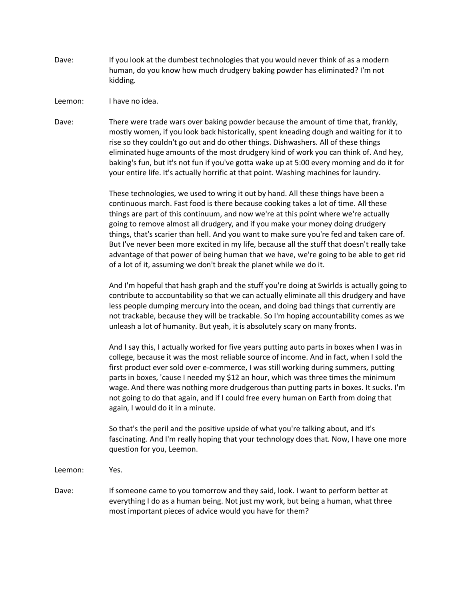- Dave: If you look at the dumbest technologies that you would never think of as a modern human, do you know how much drudgery baking powder has eliminated? I'm not kidding.
- Leemon: I have no idea.
- Dave: There were trade wars over baking powder because the amount of time that, frankly, mostly women, if you look back historically, spent kneading dough and waiting for it to rise so they couldn't go out and do other things. Dishwashers. All of these things eliminated huge amounts of the most drudgery kind of work you can think of. And hey, baking's fun, but it's not fun if you've gotta wake up at 5:00 every morning and do it for your entire life. It's actually horrific at that point. Washing machines for laundry.

These technologies, we used to wring it out by hand. All these things have been a continuous march. Fast food is there because cooking takes a lot of time. All these things are part of this continuum, and now we're at this point where we're actually going to remove almost all drudgery, and if you make your money doing drudgery things, that's scarier than hell. And you want to make sure you're fed and taken care of. But I've never been more excited in my life, because all the stuff that doesn't really take advantage of that power of being human that we have, we're going to be able to get rid of a lot of it, assuming we don't break the planet while we do it.

And I'm hopeful that hash graph and the stuff you're doing at Swirlds is actually going to contribute to accountability so that we can actually eliminate all this drudgery and have less people dumping mercury into the ocean, and doing bad things that currently are not trackable, because they will be trackable. So I'm hoping accountability comes as we unleash a lot of humanity. But yeah, it is absolutely scary on many fronts.

And I say this, I actually worked for five years putting auto parts in boxes when I was in college, because it was the most reliable source of income. And in fact, when I sold the first product ever sold over e-commerce, I was still working during summers, putting parts in boxes, 'cause I needed my \$12 an hour, which was three times the minimum wage. And there was nothing more drudgerous than putting parts in boxes. It sucks. I'm not going to do that again, and if I could free every human on Earth from doing that again, I would do it in a minute.

So that's the peril and the positive upside of what you're talking about, and it's fascinating. And I'm really hoping that your technology does that. Now, I have one more question for you, Leemon.

Leemon: Yes.

Dave: If someone came to you tomorrow and they said, look. I want to perform better at everything I do as a human being. Not just my work, but being a human, what three most important pieces of advice would you have for them?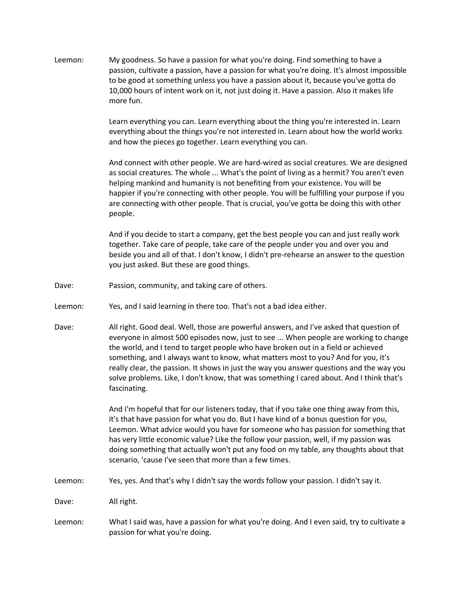Leemon: My goodness. So have a passion for what you're doing. Find something to have a passion, cultivate a passion, have a passion for what you're doing. It's almost impossible to be good at something unless you have a passion about it, because you've gotta do 10,000 hours of intent work on it, not just doing it. Have a passion. Also it makes life more fun.

> Learn everything you can. Learn everything about the thing you're interested in. Learn everything about the things you're not interested in. Learn about how the world works and how the pieces go together. Learn everything you can.

And connect with other people. We are hard-wired as social creatures. We are designed as social creatures. The whole ... What's the point of living as a hermit? You aren't even helping mankind and humanity is not benefiting from your existence. You will be happier if you're connecting with other people. You will be fulfilling your purpose if you are connecting with other people. That is crucial, you've gotta be doing this with other people.

And if you decide to start a company, get the best people you can and just really work together. Take care of people, take care of the people under you and over you and beside you and all of that. I don't know, I didn't pre-rehearse an answer to the question you just asked. But these are good things.

- Dave: Passion, community, and taking care of others.
- Leemon: Yes, and I said learning in there too. That's not a bad idea either.
- Dave: All right. Good deal. Well, those are powerful answers, and I've asked that question of everyone in almost 500 episodes now, just to see ... When people are working to change the world, and I tend to target people who have broken out in a field or achieved something, and I always want to know, what matters most to you? And for you, it's really clear, the passion. It shows in just the way you answer questions and the way you solve problems. Like, I don't know, that was something I cared about. And I think that's fascinating.

And I'm hopeful that for our listeners today, that if you take one thing away from this, it's that have passion for what you do. But I have kind of a bonus question for you, Leemon. What advice would you have for someone who has passion for something that has very little economic value? Like the follow your passion, well, if my passion was doing something that actually won't put any food on my table, any thoughts about that scenario, 'cause I've seen that more than a few times.

Leemon: Yes, yes. And that's why I didn't say the words follow your passion. I didn't say it.

Dave: All right.

Leemon: What I said was, have a passion for what you're doing. And I even said, try to cultivate a passion for what you're doing.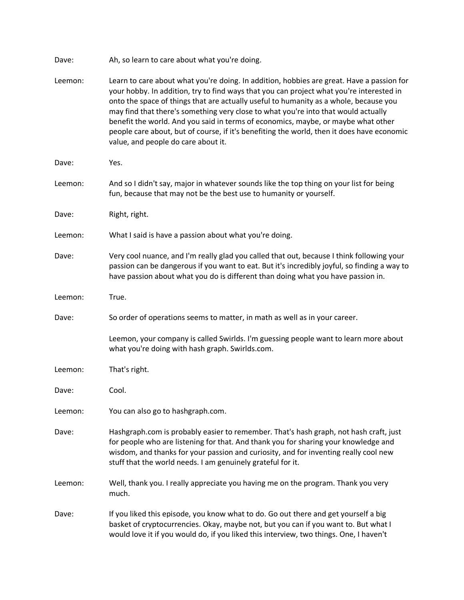Dave: Ah, so learn to care about what you're doing.

- Leemon: Learn to care about what you're doing. In addition, hobbies are great. Have a passion for your hobby. In addition, try to find ways that you can project what you're interested in onto the space of things that are actually useful to humanity as a whole, because you may find that there's something very close to what you're into that would actually benefit the world. And you said in terms of economics, maybe, or maybe what other people care about, but of course, if it's benefiting the world, then it does have economic value, and people do care about it. Dave: Yes. Leemon: And so I didn't say, major in whatever sounds like the top thing on your list for being fun, because that may not be the best use to humanity or yourself. Dave: Right, right. Leemon: What I said is have a passion about what you're doing. Dave: Very cool nuance, and I'm really glad you called that out, because I think following your passion can be dangerous if you want to eat. But it's incredibly joyful, so finding a way to have passion about what you do is different than doing what you have passion in. Leemon: True. Dave: So order of operations seems to matter, in math as well as in your career. Leemon, your company is called Swirlds. I'm guessing people want to learn more about what you're doing with hash graph. Swirlds.com. Leemon: That's right. Dave: Cool. Leemon: You can also go to hashgraph.com. Dave: Hashgraph.com is probably easier to remember. That's hash graph, not hash craft, just for people who are listening for that. And thank you for sharing your knowledge and wisdom, and thanks for your passion and curiosity, and for inventing really cool new stuff that the world needs. I am genuinely grateful for it. Leemon: Well, thank you. I really appreciate you having me on the program. Thank you very much. Dave: If you liked this episode, you know what to do. Go out there and get yourself a big
- basket of cryptocurrencies. Okay, maybe not, but you can if you want to. But what I would love it if you would do, if you liked this interview, two things. One, I haven't